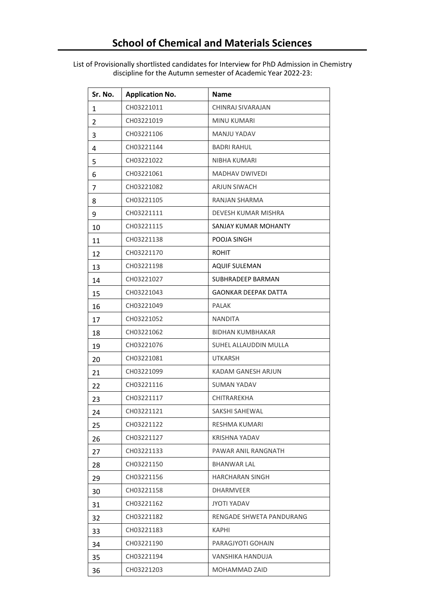List of Provisionally shortlisted candidates for Interview for PhD Admission in Chemistry discipline for the Autumn semester of Academic Year 2022-23:

| Sr. No. | <b>Application No.</b> | <b>Name</b>                 |
|---------|------------------------|-----------------------------|
| 1       | CH03221011             | CHINRAJ SIVARAJAN           |
| 2       | CH03221019             | <b>MINU KUMARI</b>          |
| 3       | CH03221106             | <b>MANJU YADAV</b>          |
| 4       | CH03221144             | <b>BADRI RAHUL</b>          |
| 5       | CH03221022             | NIBHA KUMARI                |
| 6       | CH03221061             | <b>MADHAV DWIVEDI</b>       |
| 7       | CH03221082             | ARJUN SIWACH                |
| 8       | CH03221105             | RANJAN SHARMA               |
| 9       | CH03221111             | DEVESH KUMAR MISHRA         |
| 10      | CH03221115             | SANJAY KUMAR MOHANTY        |
| 11      | CH03221138             | POOJA SINGH                 |
| 12      | CH03221170             | <b>ROHIT</b>                |
| 13      | CH03221198             | <b>AQUIF SULEMAN</b>        |
| 14      | CH03221027             | SUBHRADEEP BARMAN           |
| 15      | CH03221043             | <b>GAONKAR DEEPAK DATTA</b> |
| 16      | CH03221049             | <b>PALAK</b>                |
| 17      | CH03221052             | <b>NANDITA</b>              |
| 18      | CH03221062             | <b>BIDHAN KUMBHAKAR</b>     |
| 19      | CH03221076             | SUHEL ALLAUDDIN MULLA       |
| 20      | CH03221081             | <b>UTKARSH</b>              |
| 21      | CH03221099             | KADAM GANESH ARJUN          |
| 22      | CH03221116             | <b>SUMAN YADAV</b>          |
| 23      | CH03221117             | <b>CHITRAREKHA</b>          |
| 24      | CH03221121             | SAKSHI SAHEWAL              |
| 25      | CH03221122             | RESHMA KUMARI               |
| 26      | CH03221127             | KRISHNA YADAV               |
| 27      | CH03221133             | PAWAR ANIL RANGNATH         |
| 28      | CH03221150             | <b>BHANWAR LAL</b>          |
| 29      | CH03221156             | <b>HARCHARAN SINGH</b>      |
| 30      | CH03221158             | <b>DHARMVEER</b>            |
| 31      | CH03221162             | JYOTI YADAV                 |
| 32      | CH03221182             | RENGADE SHWETA PANDURANG    |
| 33      | CH03221183             | KAPHI                       |
| 34      | CH03221190             | PARAGJYOTI GOHAIN           |
| 35      | CH03221194             | VANSHIKA HANDUJA            |
| 36      | CH03221203             | MOHAMMAD ZAID               |